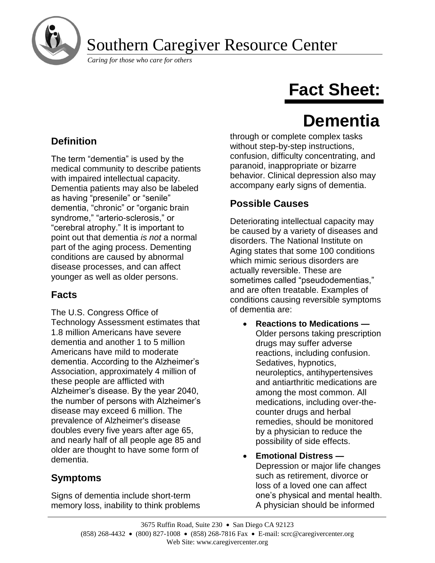

## Southern Caregiver Resource Center

*Caring for those who care for others*

# **Fact Sheet:**

## **Dementia**

## **Definition**

The term "dementia" is used by the medical community to describe patients with impaired intellectual capacity. Dementia patients may also be labeled as having "presenile" or "senile" dementia, "chronic" or "organic brain syndrome," "arterio-sclerosis," or "cerebral atrophy." It is important to point out that dementia *is not* a normal part of the aging process. Dementing conditions are caused by abnormal disease processes, and can affect younger as well as older persons.

## **Facts**

The U.S. Congress Office of Technology Assessment estimates that 1.8 million Americans have severe dementia and another 1 to 5 million Americans have mild to moderate dementia. According to the Alzheimer's Association, approximately 4 million of these people are afflicted with Alzheimer's disease. By the year 2040, the number of persons with Alzheimer's disease may exceed 6 million. The prevalence of Alzheimer's disease doubles every five years after age 65, and nearly half of all people age 85 and older are thought to have some form of dementia.

## **Symptoms**

Signs of dementia include short-term memory loss, inability to think problems through or complete complex tasks without step-by-step instructions, confusion, difficulty concentrating, and paranoid, inappropriate or bizarre behavior. Clinical depression also may accompany early signs of dementia.

## **Possible Causes**

Deteriorating intellectual capacity may be caused by a variety of diseases and disorders. The National Institute on Aging states that some 100 conditions which mimic serious disorders are actually reversible. These are sometimes called "pseudodementias," and are often treatable. Examples of conditions causing reversible symptoms of dementia are:

- **Reactions to Medications —** Older persons taking prescription drugs may suffer adverse reactions, including confusion. Sedatives, hypnotics, neuroleptics, antihypertensives and antiarthritic medications are among the most common. All medications, including over-thecounter drugs and herbal remedies, should be monitored by a physician to reduce the possibility of side effects.
- **Emotional Distress —** Depression or major life changes such as retirement, divorce or loss of a loved one can affect one's physical and mental health. A physician should be informed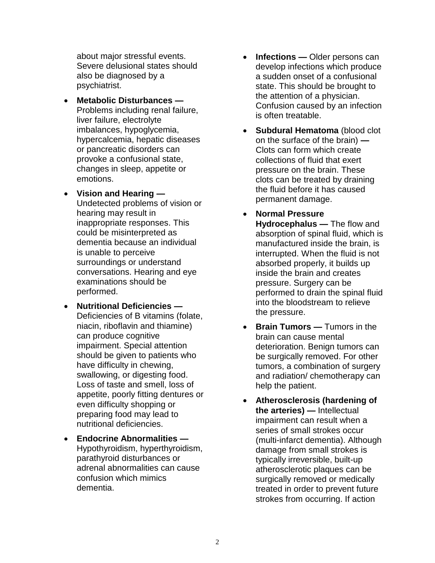about major stressful events. Severe delusional states should also be diagnosed by a psychiatrist.

- **Metabolic Disturbances —** Problems including renal failure, liver failure, electrolyte imbalances, hypoglycemia, hypercalcemia, hepatic diseases or pancreatic disorders can provoke a confusional state, changes in sleep, appetite or emotions.
- **Vision and Hearing —** Undetected problems of vision or hearing may result in inappropriate responses. This could be misinterpreted as dementia because an individual is unable to perceive surroundings or understand conversations. Hearing and eye examinations should be performed.
- **Nutritional Deficiencies —** Deficiencies of B vitamins (folate, niacin, riboflavin and thiamine) can produce cognitive impairment. Special attention should be given to patients who have difficulty in chewing, swallowing, or digesting food. Loss of taste and smell, loss of appetite, poorly fitting dentures or even difficulty shopping or preparing food may lead to nutritional deficiencies.
- **Endocrine Abnormalities —** Hypothyroidism, hyperthyroidism, parathyroid disturbances or adrenal abnormalities can cause confusion which mimics dementia.
- **Infections —** Older persons can develop infections which produce a sudden onset of a confusional state. This should be brought to the attention of a physician. Confusion caused by an infection is often treatable.
- **Subdural Hematoma** (blood clot on the surface of the brain) **—** Clots can form which create collections of fluid that exert pressure on the brain. These clots can be treated by draining the fluid before it has caused permanent damage.
- **Normal Pressure Hydrocephalus —** The flow and absorption of spinal fluid, which is manufactured inside the brain, is interrupted. When the fluid is not absorbed properly, it builds up inside the brain and creates pressure. Surgery can be performed to drain the spinal fluid into the bloodstream to relieve the pressure.
- **Brain Tumors —** Tumors in the brain can cause mental deterioration. Benign tumors can be surgically removed. For other tumors, a combination of surgery and radiation/ chemotherapy can help the patient.
- **Atherosclerosis (hardening of the arteries) —** Intellectual impairment can result when a series of small strokes occur (multi-infarct dementia). Although damage from small strokes is typically irreversible, built-up atherosclerotic plaques can be surgically removed or medically treated in order to prevent future strokes from occurring. If action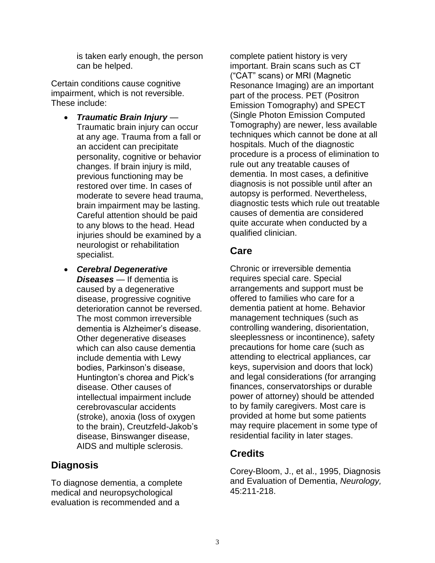is taken early enough, the person can be helped.

Certain conditions cause cognitive impairment, which is not reversible. These include:

- *Traumatic Brain Injury —* Traumatic brain injury can occur at any age. Trauma from a fall or an accident can precipitate personality, cognitive or behavior changes. If brain injury is mild, previous functioning may be restored over time. In cases of moderate to severe head trauma, brain impairment may be lasting. Careful attention should be paid to any blows to the head. Head injuries should be examined by a neurologist or rehabilitation specialist.
- *Cerebral Degenerative Diseases —* If dementia is caused by a degenerative disease, progressive cognitive deterioration cannot be reversed. The most common irreversible dementia is Alzheimer's disease. Other degenerative diseases which can also cause dementia include dementia with Lewy bodies, Parkinson's disease, Huntington's chorea and Pick's disease. Other causes of intellectual impairment include cerebrovascular accidents (stroke), anoxia (loss of oxygen to the brain), Creutzfeld-Jakob's disease, Binswanger disease, AIDS and multiple sclerosis.

### **Diagnosis**

To diagnose dementia, a complete medical and neuropsychological evaluation is recommended and a

complete patient history is very important. Brain scans such as CT ("CAT" scans) or MRI (Magnetic Resonance Imaging) are an important part of the process. PET (Positron Emission Tomography) and SPECT (Single Photon Emission Computed Tomography) are newer, less available techniques which cannot be done at all hospitals. Much of the diagnostic procedure is a process of elimination to rule out any treatable causes of dementia. In most cases, a definitive diagnosis is not possible until after an autopsy is performed. Nevertheless, diagnostic tests which rule out treatable causes of dementia are considered quite accurate when conducted by a qualified clinician.

### **Care**

Chronic or irreversible dementia requires special care. Special arrangements and support must be offered to families who care for a dementia patient at home. Behavior management techniques (such as controlling wandering, disorientation, sleeplessness or incontinence), safety precautions for home care (such as attending to electrical appliances, car keys, supervision and doors that lock) and legal considerations (for arranging finances, conservatorships or durable power of attorney) should be attended to by family caregivers. Most care is provided at home but some patients may require placement in some type of residential facility in later stages.

## **Credits**

Corey-Bloom, J., et al., 1995, Diagnosis and Evaluation of Dementia, *Neurology,*  45:211-218.